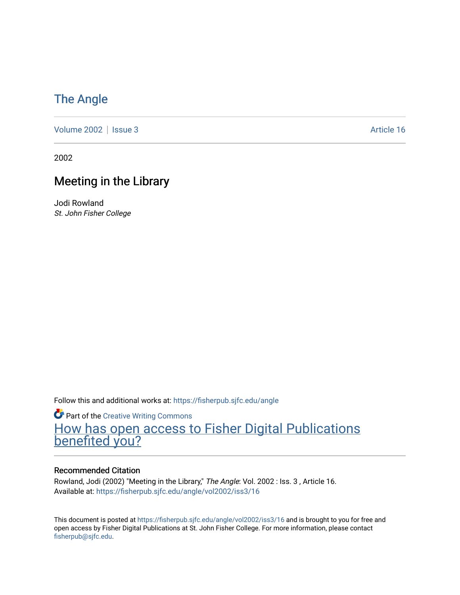## [The Angle](https://fisherpub.sjfc.edu/angle)

[Volume 2002](https://fisherpub.sjfc.edu/angle/vol2002) | [Issue 3](https://fisherpub.sjfc.edu/angle/vol2002/iss3) Article 16

2002

## Meeting in the Library

Jodi Rowland St. John Fisher College

Follow this and additional works at: [https://fisherpub.sjfc.edu/angle](https://fisherpub.sjfc.edu/angle?utm_source=fisherpub.sjfc.edu%2Fangle%2Fvol2002%2Fiss3%2F16&utm_medium=PDF&utm_campaign=PDFCoverPages)

**Part of the Creative Writing Commons** [How has open access to Fisher Digital Publications](https://docs.google.com/forms/d/14zrnDfH9d1wcdq8oG_-gFabAsxfcH5claltx85ZWyTg/viewform?entry.1394608989=https://fisherpub.sjfc.edu/angle/vol2002/iss3/16%3Chttps://docs.google.com/forms/d/14zrnDfH9d1wcdq8oG_-gFabAsxfcH5claltx85ZWyTg/viewform?entry.1394608989=%7bhttps://fisherpub.sjfc.edu/angle/vol2002/iss3/16%7d) [benefited you?](https://docs.google.com/forms/d/14zrnDfH9d1wcdq8oG_-gFabAsxfcH5claltx85ZWyTg/viewform?entry.1394608989=https://fisherpub.sjfc.edu/angle/vol2002/iss3/16%3Chttps://docs.google.com/forms/d/14zrnDfH9d1wcdq8oG_-gFabAsxfcH5claltx85ZWyTg/viewform?entry.1394608989=%7bhttps://fisherpub.sjfc.edu/angle/vol2002/iss3/16%7d)

### Recommended Citation

Rowland, Jodi (2002) "Meeting in the Library," The Angle: Vol. 2002 : Iss. 3 , Article 16. Available at: [https://fisherpub.sjfc.edu/angle/vol2002/iss3/16](https://fisherpub.sjfc.edu/angle/vol2002/iss3/16?utm_source=fisherpub.sjfc.edu%2Fangle%2Fvol2002%2Fiss3%2F16&utm_medium=PDF&utm_campaign=PDFCoverPages) 

This document is posted at <https://fisherpub.sjfc.edu/angle/vol2002/iss3/16> and is brought to you for free and open access by Fisher Digital Publications at St. John Fisher College. For more information, please contact [fisherpub@sjfc.edu](mailto:fisherpub@sjfc.edu).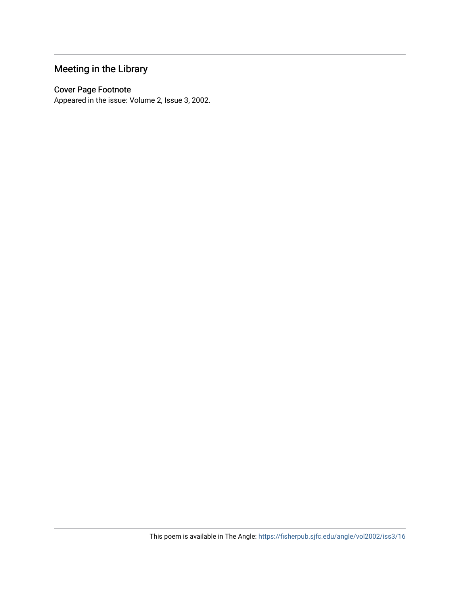## Meeting in the Library

## Cover Page Footnote

Appeared in the issue: Volume 2, Issue 3, 2002.